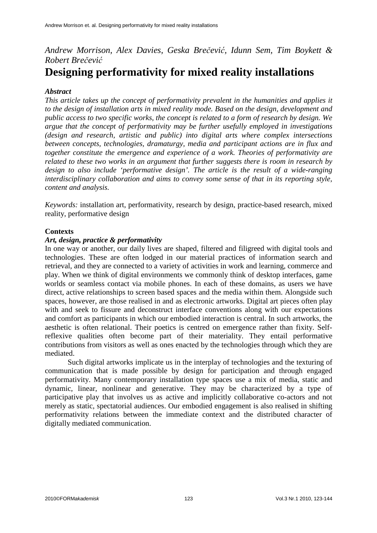# *Andrew Morrison, Alex Davies, Geska Bre*č*evi*ć*, Idunn Sem, Tim Boykett & Robert Bre*č*evi*ć **Designing performativity for mixed reality installations**

# *Abstract*

*This article takes up the concept of performativity prevalent in the humanities and applies it to the design of installation arts in mixed reality mode. Based on the design, development and public access to two specific works, the concept is related to a form of research by design. We argue that the concept of performativity may be further usefully employed in investigations (design and research, artistic and public) into digital arts where complex intersections between concepts, technologies, dramaturgy, media and participant actions are in flux and together constitute the emergence and experience of a work. Theories of performativity are related to these two works in an argument that further suggests there is room in research by design to also include 'performative design'. The article is the result of a wide-ranging interdisciplinary collaboration and aims to convey some sense of that in its reporting style, content and analysis.*

*Keywords:* installation art, performativity, research by design, practice-based research, mixed reality, performative design

## **Contexts**

### *Art, design, practice & performativity*

In one way or another, our daily lives are shaped, filtered and filigreed with digital tools and technologies. These are often lodged in our material practices of information search and retrieval, and they are connected to a variety of activities in work and learning, commerce and play. When we think of digital environments we commonly think of desktop interfaces, game worlds or seamless contact via mobile phones. In each of these domains, as users we have direct, active relationships to screen based spaces and the media within them. Alongside such spaces, however, are those realised in and as electronic artworks. Digital art pieces often play with and seek to fissure and deconstruct interface conventions along with our expectations and comfort as participants in which our embodied interaction is central. In such artworks, the aesthetic is often relational. Their poetics is centred on emergence rather than fixity. Selfreflexive qualities often become part of their materiality. They entail performative contributions from visitors as well as ones enacted by the technologies through which they are mediated.

Such digital artworks implicate us in the interplay of technologies and the texturing of communication that is made possible by design for participation and through engaged performativity. Many contemporary installation type spaces use a mix of media, static and dynamic, linear, nonlinear and generative. They may be characterized by a type of participative play that involves us as active and implicitly collaborative co-actors and not merely as static, spectatorial audiences. Our embodied engagement is also realised in shifting performativity relations between the immediate context and the distributed character of digitally mediated communication.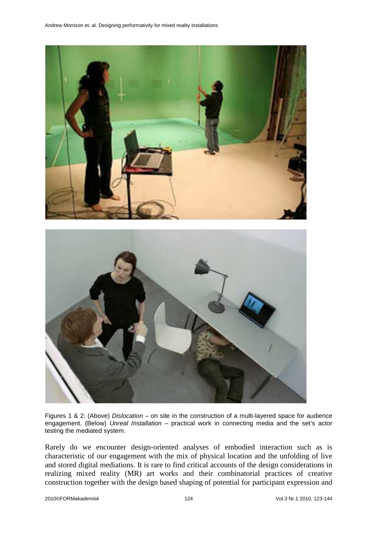

Figures 1 & 2: (Above) Dislocation – on site in the construction of a multi-layered space for audience engagement. (Below) Unreal Installation - practical work in connecting media and the set's actor testing the mediated system.

Rarely do we encounter design-oriented analyses of embodied interaction such as is characteristic of our engagement with the mix of physical location and the unfolding of live and stored digital mediations. It is rare to find critical accounts of the design considerations in realizing mixed reality (MR) art works and their combinatorial practices of creative construction together with the design based shaping of potential for participant expression and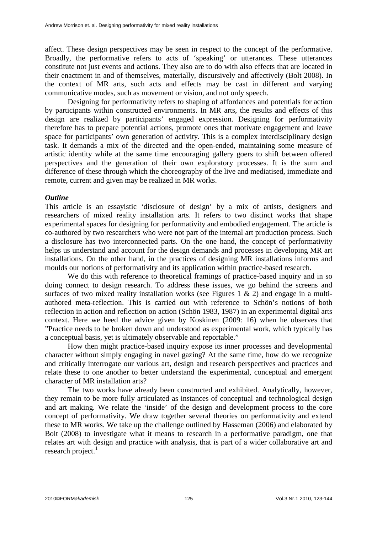affect. These design perspectives may be seen in respect to the concept of the performative. Broadly, the performative refers to acts of 'speaking' or utterances. These utterances constitute not just events and actions. They also are to do with also effects that are located in their enactment in and of themselves, materially, discursively and affectively (Bolt 2008). In the context of MR arts, such acts and effects may be cast in different and varying communicative modes, such as movement or vision, and not only speech.

Designing for performativity refers to shaping of affordances and potentials for action by participants within constructed environments. In MR arts, the results and effects of this design are realized by participants' engaged expression. Designing for performativity therefore has to prepare potential actions, promote ones that motivate engagement and leave space for participants' own generation of activity. This is a complex interdisciplinary design task. It demands a mix of the directed and the open-ended, maintaining some measure of artistic identity while at the same time encouraging gallery goers to shift between offered perspectives and the generation of their own exploratory processes. It is the sum and difference of these through which the choreography of the live and mediatised, immediate and remote, current and given may be realized in MR works.

## *Outline*

This article is an essayistic 'disclosure of design' by a mix of artists, designers and researchers of mixed reality installation arts. It refers to two distinct works that shape experimental spaces for designing for performativity and embodied engagement. The article is co-authored by two researchers who were not part of the internal art production process. Such a disclosure has two interconnected parts. On the one hand, the concept of performativity helps us understand and account for the design demands and processes in developing MR art installations. On the other hand, in the practices of designing MR installations informs and moulds our notions of performativity and its application within practice-based research.

We do this with reference to theoretical framings of practice-based inquiry and in so doing connect to design research. To address these issues, we go behind the screens and surfaces of two mixed reality installation works (see Figures 1  $\&$  2) and engage in a multiauthored meta-reflection. This is carried out with reference to Schön's notions of both reflection in action and reflection on action (Schön 1983, 1987) in an experimental digital arts context. Here we heed the advice given by Koskinen (2009: 16) when he observes that "Practice needs to be broken down and understood as experimental work, which typically has a conceptual basis, yet is ultimately observable and reportable."

How then might practice-based inquiry expose its inner processes and developmental character without simply engaging in navel gazing? At the same time, how do we recognize and critically interrogate our various art, design and research perspectives and practices and relate these to one another to better understand the experimental, conceptual and emergent character of MR installation arts?

The two works have already been constructed and exhibited. Analytically, however, they remain to be more fully articulated as instances of conceptual and technological design and art making. We relate the 'inside' of the design and development process to the core concept of performativity. We draw together several theories on performativity and extend these to MR works. We take up the challenge outlined by Hasseman (2006) and elaborated by Bolt (2008) to investigate what it means to research in a performative paradigm, one that relates art with design and practice with analysis, that is part of a wider collaborative art and research project. $<sup>1</sup>$ </sup>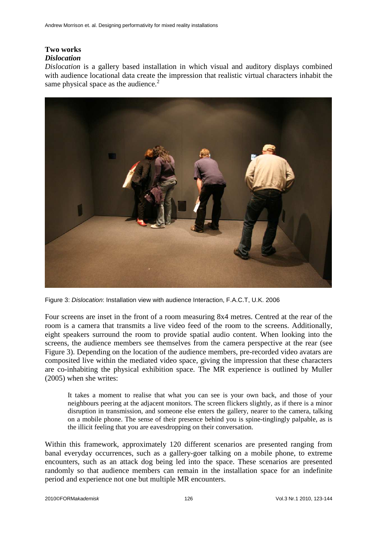# **Two works**

# *Dislocation*

*Dislocation* is a gallery based installation in which visual and auditory displays combined with audience locational data create the impression that realistic virtual characters inhabit the same physical space as the audience. $<sup>2</sup>$ </sup>



Figure 3: Dislocation: Installation view with audience Interaction, F.A.C.T, U.K. 2006

Four screens are inset in the front of a room measuring 8x4 metres. Centred at the rear of the room is a camera that transmits a live video feed of the room to the screens. Additionally, eight speakers surround the room to provide spatial audio content. When looking into the screens, the audience members see themselves from the camera perspective at the rear (see Figure 3). Depending on the location of the audience members, pre-recorded video avatars are composited live within the mediated video space, giving the impression that these characters are co-inhabiting the physical exhibition space. The MR experience is outlined by Muller (2005) when she writes:

It takes a moment to realise that what you can see is your own back, and those of your neighbours peering at the adjacent monitors. The screen flickers slightly, as if there is a minor disruption in transmission, and someone else enters the gallery, nearer to the camera, talking on a mobile phone. The sense of their presence behind you is spine-tinglingly palpable, as is the illicit feeling that you are eavesdropping on their conversation.

Within this framework, approximately 120 different scenarios are presented ranging from banal everyday occurrences, such as a gallery-goer talking on a mobile phone, to extreme encounters, such as an attack dog being led into the space. These scenarios are presented randomly so that audience members can remain in the installation space for an indefinite period and experience not one but multiple MR encounters.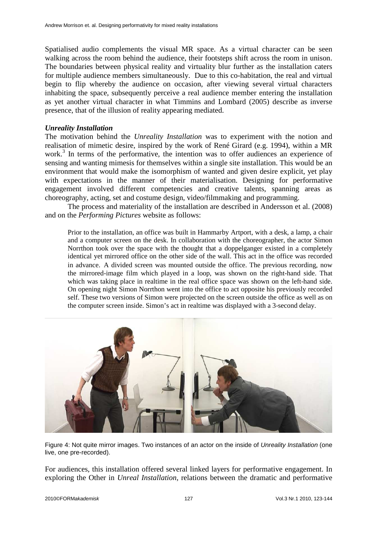Spatialised audio complements the visual MR space. As a virtual character can be seen walking across the room behind the audience, their footsteps shift across the room in unison. The boundaries between physical reality and virtuality blur further as the installation caters for multiple audience members simultaneously. Due to this co-habitation, the real and virtual begin to flip whereby the audience on occasion, after viewing several virtual characters inhabiting the space, subsequently perceive a real audience member entering the installation as yet another virtual character in what Timmins and Lombard (2005) describe as inverse presence, that of the illusion of reality appearing mediated.

#### *Unreality Installation*

The motivation behind the *Unreality Installation* was to experiment with the notion and realisation of mimetic desire, inspired by the work of René Girard (e.g. 1994), within a MR work.<sup>3</sup> In terms of the performative, the intention was to offer audiences an experience of sensing and wanting mimesis for themselves within a single site installation. This would be an environment that would make the isomorphism of wanted and given desire explicit, yet play with expectations in the manner of their materialisation. Designing for performative engagement involved different competencies and creative talents, spanning areas as choreography, acting, set and costume design, video/filmmaking and programming.

The process and materiality of the installation are described in Andersson et al. (2008) and on the *Performing Pictures* website as follows:

Prior to the installation, an office was built in Hammarby Artport, with a desk, a lamp, a chair and a computer screen on the desk. In collaboration with the choreographer, the actor Simon Norrthon took over the space with the thought that a doppelganger existed in a completely identical yet mirrored office on the other side of the wall. This act in the office was recorded in advance. A divided screen was mounted outside the office. The previous recording, now the mirrored-image film which played in a loop, was shown on the right-hand side. That which was taking place in realtime in the real office space was shown on the left-hand side. On opening night Simon Norrthon went into the office to act opposite his previously recorded self. These two versions of Simon were projected on the screen outside the office as well as on the computer screen inside. Simon's act in realtime was displayed with a 3-second delay.



Figure 4: Not quite mirror images. Two instances of an actor on the inside of Unreality Installation (one live, one pre-recorded).

For audiences, this installation offered several linked layers for performative engagement. In exploring the Other in *Unreal Installation*, relations between the dramatic and performative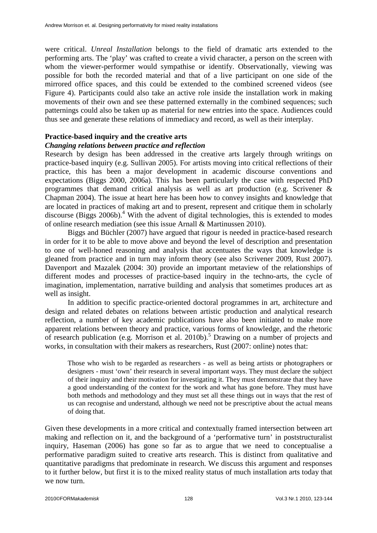were critical. *Unreal Installation* belongs to the field of dramatic arts extended to the performing arts. The 'play' was crafted to create a vivid character, a person on the screen with whom the viewer-performer would sympathise or identify. Observationally, viewing was possible for both the recorded material and that of a live participant on one side of the mirrored office spaces, and this could be extended to the combined screened videos (see Figure 4). Participants could also take an active role inside the installation work in making movements of their own and see these patterned externally in the combined sequences; such patternings could also be taken up as material for new entries into the space. Audiences could thus see and generate these relations of immediacy and record, as well as their interplay.

### **Practice-based inquiry and the creative arts**

### *Changing relations between practice and reflection*

Research by design has been addressed in the creative arts largely through writings on practice-based inquiry (e.g. Sullivan 2005). For artists moving into critical reflections of their practice, this has been a major development in academic discourse conventions and expectations (Biggs 2000, 2006a). This has been particularly the case with respected PhD programmes that demand critical analysis as well as art production (e.g. Scrivener & Chapman 2004). The issue at heart here has been how to convey insights and knowledge that are located in practices of making art and to present, represent and critique them in scholarly discourse (Biggs 2006b).<sup>4</sup> With the advent of digital technologies, this is extended to modes of online research mediation (see this issue Arnall & Martinussen 2010).

Biggs and Büchler (2007) have argued that rigour is needed in practice-based research in order for it to be able to move above and beyond the level of description and presentation to one of well-honed reasoning and analysis that accentuates the ways that knowledge is gleaned from practice and in turn may inform theory (see also Scrivener 2009, Rust 2007). Davenport and Mazalek (2004: 30) provide an important metaview of the relationships of different modes and processes of practice-based inquiry in the techno-arts, the cycle of imagination, implementation, narrative building and analysis that sometimes produces art as well as insight.

In addition to specific practice-oriented doctoral programmes in art, architecture and design and related debates on relations between artistic production and analytical research reflection, a number of key academic publications have also been initiated to make more apparent relations between theory and practice, various forms of knowledge, and the rhetoric of research publication (e.g. Morrison et al. 2010b).<sup>5</sup> Drawing on a number of projects and works, in consultation with their makers as researchers, Rust (2007: online) notes that:

Those who wish to be regarded as researchers - as well as being artists or photographers or designers - must 'own' their research in several important ways. They must declare the subject of their inquiry and their motivation for investigating it. They must demonstrate that they have a good understanding of the context for the work and what has gone before. They must have both methods and methodology and they must set all these things out in ways that the rest of us can recognise and understand, although we need not be prescriptive about the actual means of doing that.

Given these developments in a more critical and contextually framed intersection between art making and reflection on it, and the background of a 'performative turn' in poststructuralist inquiry, Haseman (2006) has gone so far as to argue that we need to conceptualise a performative paradigm suited to creative arts research. This is distinct from qualitative and quantitative paradigms that predominate in research. We discuss this argument and responses to it further below, but first it is to the mixed reality status of much installation arts today that we now turn.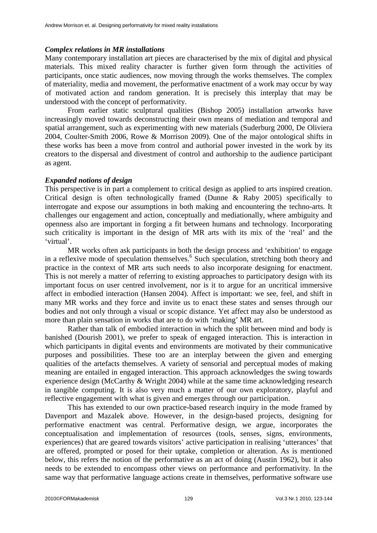### *Complex relations in MR installations*

Many contemporary installation art pieces are characterised by the mix of digital and physical materials. This mixed reality character is further given form through the activities of participants, once static audiences, now moving through the works themselves. The complex of materiality, media and movement, the performative enactment of a work may occur by way of motivated action and random generation. It is precisely this interplay that may be understood with the concept of performativity.

From earlier static sculptural qualities (Bishop 2005) installation artworks have increasingly moved towards deconstructing their own means of mediation and temporal and spatial arrangement, such as experimenting with new materials (Suderburg 2000, De Oliviera 2004, Coulter-Smith 2006, Rowe & Morrison 2009). One of the major ontological shifts in these works has been a move from control and authorial power invested in the work by its creators to the dispersal and divestment of control and authorship to the audience participant as agent.

### *Expanded notions of design*

This perspective is in part a complement to critical design as applied to arts inspired creation. Critical design is often technologically framed (Dunne & Raby 2005) specifically to interrogate and expose our assumptions in both making and encountering the techno-arts. It challenges our engagement and action, conceptually and mediationally, where ambiguity and openness also are important in forging a fit between humans and technology. Incorporating such criticality is important in the design of MR arts with its mix of the 'real' and the 'virtual'.

MR works often ask participants in both the design process and 'exhibition' to engage in a reflexive mode of speculation themselves.<sup>6</sup> Such speculation, stretching both theory and practice in the context of MR arts such needs to also incorporate designing for enactment. This is not merely a matter of referring to existing approaches to participatory design with its important focus on user centred involvement, nor is it to argue for an uncritical immersive affect in embodied interaction (Hansen 2004). Affect is important: we see, feel, and shift in many MR works and they force and invite us to enact these states and senses through our bodies and not only through a visual or scopic distance. Yet affect may also be understood as more than plain sensation in works that are to do with 'making' MR art.

Rather than talk of embodied interaction in which the split between mind and body is banished (Dourish 2001), we prefer to speak of engaged interaction. This is interaction in which participants in digital events and environments are motivated by their communicative purposes and possibilities. These too are an interplay between the given and emerging qualities of the artefacts themselves. A variety of sensorial and perceptual modes of making meaning are entailed in engaged interaction. This approach acknowledges the swing towards experience design (McCarthy & Wright 2004) while at the same time acknowledging research in tangible computing. It is also very much a matter of our own exploratory, playful and reflective engagement with what is given and emerges through our participation.

This has extended to our own practice-based research inquiry in the mode framed by Davenport and Mazalek above. However, in the design-based projects, designing for performative enactment was central. Performative design, we argue, incorporates the conceptualisation and implementation of resources (tools, senses, signs, environments, experiences) that are geared towards visitors' active participation in realising 'utterances' that are offered, prompted or posed for their uptake, completion or alteration. As is mentioned below, this refers the notion of the performative as an act of doing (Austin 1962), but it also needs to be extended to encompass other views on performance and performativity. In the same way that performative language actions create in themselves, performative software use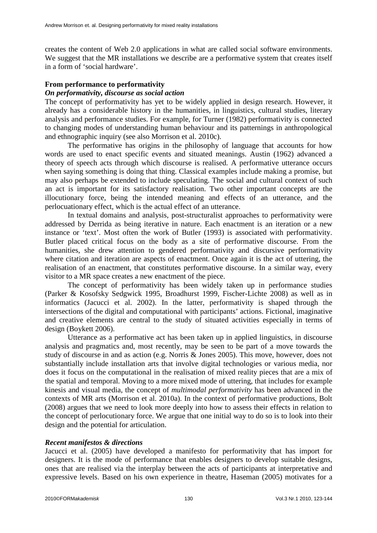creates the content of Web 2.0 applications in what are called social software environments. We suggest that the MR installations we describe are a performative system that creates itself in a form of 'social hardware'.

## **From performance to performativity**

## *On performativity, discourse as social action*

The concept of performativity has yet to be widely applied in design research. However, it already has a considerable history in the humanities, in linguistics, cultural studies, literary analysis and performance studies. For example, for Turner (1982) performativity is connected to changing modes of understanding human behaviour and its patternings in anthropological and ethnographic inquiry (see also Morrison et al. 2010c).

The performative has origins in the philosophy of language that accounts for how words are used to enact specific events and situated meanings. Austin (1962) advanced a theory of speech acts through which discourse is realised. A performative utterance occurs when saying something is doing that thing. Classical examples include making a promise, but may also perhaps be extended to include speculating. The social and cultural context of such an act is important for its satisfactory realisation. Two other important concepts are the illocutionary force, being the intended meaning and effects of an utterance, and the perlocuationary effect, which is the actual effect of an utterance.

In textual domains and analysis, post-structuralist approaches to performativity were addressed by Derrida as being iterative in nature. Each enactment is an iteration or a new instance or 'text'. Most often the work of Butler (1993) is associated with performativity. Butler placed critical focus on the body as a site of performative discourse. From the humanities, she drew attention to gendered performativity and discursive performativity where citation and iteration are aspects of enactment. Once again it is the act of uttering, the realisation of an enactment, that constitutes performative discourse. In a similar way, every visitor to a MR space creates a new enactment of the piece.

The concept of performativity has been widely taken up in performance studies (Parker & Kosofsky Sedgwick 1995, Broadhurst 1999, Fischer-Lichte 2008) as well as in informatics (Jacucci et al. 2002). In the latter, performativity is shaped through the intersections of the digital and computational with participants' actions. Fictional, imaginative and creative elements are central to the study of situated activities especially in terms of design (Boykett 2006).

Utterance as a performative act has been taken up in applied linguistics, in discourse analysis and pragmatics and, most recently, may be seen to be part of a move towards the study of discourse in and as action (e.g. Norris & Jones 2005). This move, however, does not substantially include installation arts that involve digital technologies or various media, nor does it focus on the computational in the realisation of mixed reality pieces that are a mix of the spatial and temporal. Moving to a more mixed mode of uttering, that includes for example kinesis and visual media, the concept of *multimodal performativity* has been advanced in the contexts of MR arts (Morrison et al. 2010a). In the context of performative productions, Bolt (2008) argues that we need to look more deeply into how to assess their effects in relation to the concept of perlocutionary force. We argue that one initial way to do so is to look into their design and the potential for articulation.

# *Recent manifestos & directions*

Jacucci et al. (2005) have developed a manifesto for performativity that has import for designers. It is the mode of performance that enables designers to develop suitable designs, ones that are realised via the interplay between the acts of participants at interpretative and expressive levels. Based on his own experience in theatre, Haseman (2005) motivates for a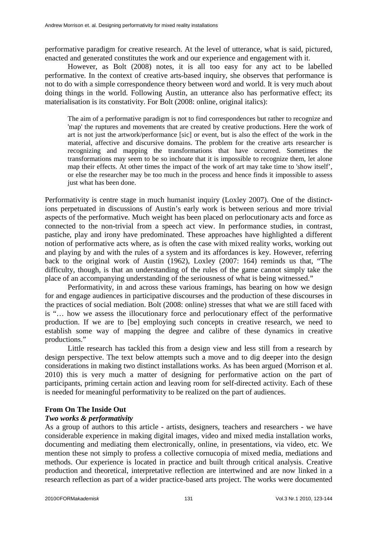performative paradigm for creative research. At the level of utterance, what is said, pictured, enacted and generated constitutes the work and our experience and engagement with it.

However, as Bolt (2008) notes, it is all too easy for any act to be labelled performative. In the context of creative arts-based inquiry, she observes that performance is not to do with a simple correspondence theory between word and world. It is very much about doing things in the world. Following Austin, an utterance also has performative effect; its materialisation is its constativity. For Bolt (2008: online, original italics):

The aim of a performative paradigm is not to find correspondences but rather to recognize and 'map' the ruptures and movements that are created by creative productions. Here the work of art is not just the artwork/performance [sic] or event, but is also the effect of the work in the material, affective and discursive domains. The problem for the creative arts researcher is recognizing and mapping the transformations that have occurred. Sometimes the transformations may seem to be so inchoate that it is impossible to recognize them, let alone map their effects. At other times the impact of the work of art may take time to 'show itself', or else the researcher may be too much in the process and hence finds it impossible to assess just what has been done.

Performativity is centre stage in much humanist inquiry (Loxley 2007). One of the distinctions perpetuated in discussions of Austin's early work is between serious and more trivial aspects of the performative. Much weight has been placed on perlocutionary acts and force as connected to the non-trivial from a speech act view. In performance studies, in contrast, pastiche, play and irony have predominated. These approaches have highlighted a different notion of performative acts where, as is often the case with mixed reality works, working out and playing by and with the rules of a system and its affordances is key. However, referring back to the original work of Austin (1962), Loxley (2007: 164) reminds us that, "The difficulty, though, is that an understanding of the rules of the game cannot simply take the place of an accompanying understanding of the seriousness of what is being witnessed."

Performativity, in and across these various framings, has bearing on how we design for and engage audiences in participative discourses and the production of these discourses in the practices of social mediation. Bolt (2008: online) stresses that what we are still faced with is "… how we assess the illocutionary force and perlocutionary effect of the performative production. If we are to [be] employing such concepts in creative research, we need to establish some way of mapping the degree and calibre of these dynamics in creative productions."

Little research has tackled this from a design view and less still from a research by design perspective. The text below attempts such a move and to dig deeper into the design considerations in making two distinct installations works. As has been argued (Morrison et al. 2010) this is very much a matter of designing for performative action on the part of participants, priming certain action and leaving room for self-directed activity. Each of these is needed for meaningful performativity to be realized on the part of audiences.

## **From On The Inside Out**

## *Two works & performativity*

As a group of authors to this article - artists, designers, teachers and researchers - we have considerable experience in making digital images, video and mixed media installation works, documenting and mediating them electronically, online, in presentations, via video, etc. We mention these not simply to profess a collective cornucopia of mixed media, mediations and methods. Our experience is located in practice and built through critical analysis. Creative production and theoretical, interpretative reflection are intertwined and are now linked in a research reflection as part of a wider practice-based arts project. The works were documented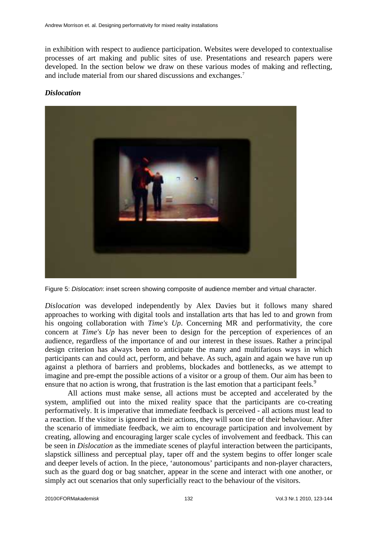in exhibition with respect to audience participation. Websites were developed to contextualise processes of art making and public sites of use. Presentations and research papers were developed. In the section below we draw on these various modes of making and reflecting, and include material from our shared discussions and exchanges.<sup>7</sup>

# *Dislocation*



Figure 5: Dislocation: inset screen showing composite of audience member and virtual character.

*Dislocation* was developed independently by Alex Davies but it follows many shared approaches to working with digital tools and installation arts that has led to and grown from his ongoing collaboration with *Time's Up.* Concerning MR and performativity, the core concern at *Time's Up* has never been to design for the perception of experiences of an audience, regardless of the importance of and our interest in these issues. Rather a principal design criterion has always been to anticipate the many and multifarious ways in which participants can and could act, perform, and behave. As such, again and again we have run up against a plethora of barriers and problems, blockades and bottlenecks, as we attempt to imagine and pre-empt the possible actions of a visitor or a group of them. Our aim has been to ensure that no action is wrong, that frustration is the last emotion that a participant feels.<sup>9</sup>

All actions must make sense, all actions must be accepted and accelerated by the system, amplified out into the mixed reality space that the participants are co-creating performatively. It is imperative that immediate feedback is perceived - all actions must lead to a reaction. If the visitor is ignored in their actions, they will soon tire of their behaviour. After the scenario of immediate feedback, we aim to encourage participation and involvement by creating, allowing and encouraging larger scale cycles of involvement and feedback. This can be seen in *Dislocation* as the immediate scenes of playful interaction between the participants, slapstick silliness and perceptual play, taper off and the system begins to offer longer scale and deeper levels of action. In the piece, 'autonomous' participants and non-player characters, such as the guard dog or bag snatcher, appear in the scene and interact with one another, or simply act out scenarios that only superficially react to the behaviour of the visitors.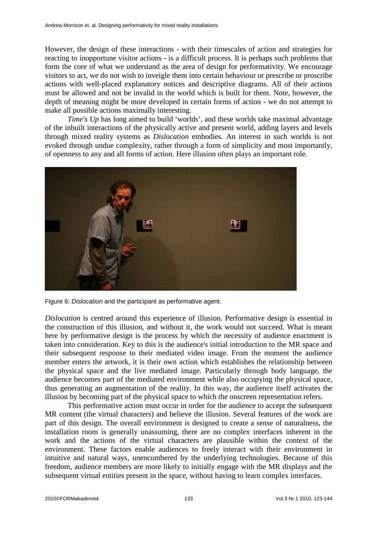However, the design of these interactions - with their timescales of action and strategies for reacting to inopportune visitor actions - is a difficult process. It is perhaps such problems that form the core of what we understand as the area of design for performativity. We encourage visitors to act, we do not wish to inveigle them into certain behaviour or prescribe or proscribe actions with well-placed explanatory notices and descriptive diagrams. All of their actions must be allowed and not be invalid in the world which is built for them. Note, however, the depth of meaning might be more developed in certain forms of action - we do not attempt to make all possible actions maximally interesting.

*Time's Up* has long aimed to build 'worlds', and these worlds take maximal advantage of the inbuilt interactions of the physically active and present world, adding layers and levels through mixed reality systems as *Dislocation* embodies. An interest in such worlds is not evoked through undue complexity, rather through a form of simplicity and most importantly, of openness to any and all forms of action. Here illusion often plays an important role.



Figure 6: Dislocation and the participant as performative agent.

*Dislocation* is centred around this experience of illusion. Performative design is essential in the construction of this illusion, and without it, the work would not succeed. What is meant here by performative design is the process by which the necessity of audience enactment is taken into consideration. Key to this is the audience's initial introduction to the MR space and their subsequent response to their mediated video image. From the moment the audience member enters the artwork, it is their own action which establishes the relationship between the physical space and the live mediated image. Particularly through body language, the audience becomes part of the mediated environment while also occupying the physical space, thus generating an augmentation of the reality. In this way, the audience itself activates the illusion by becoming part of the physical space to which the onscreen representation refers.

This performative action must occur in order for the audience to accept the subsequent MR content (the virtual characters) and believe the illusion. Several features of the work are part of this design. The overall environment is designed to create a sense of naturalness, the installation room is generally unassuming, there are no complex interfaces inherent in the work and the actions of the virtual characters are plausible within the context of the environment. These factors enable audiences to freely interact with their environment in intuitive and natural ways, unencumbered by the underlying technologies. Because of this freedom, audience members are more likely to initially engage with the MR displays and the subsequent virtual entities present in the space, without having to learn complex interfaces.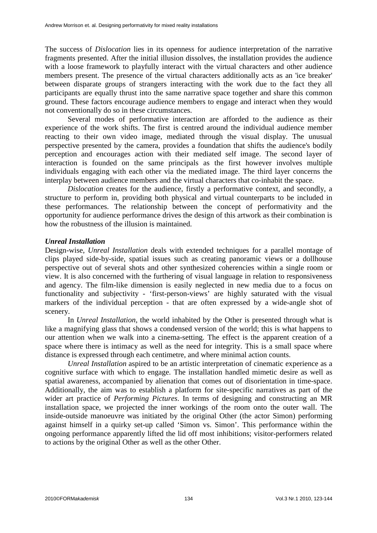The success of *Dislocation* lies in its openness for audience interpretation of the narrative fragments presented. After the initial illusion dissolves, the installation provides the audience with a loose framework to playfully interact with the virtual characters and other audience members present. The presence of the virtual characters additionally acts as an 'ice breaker' between disparate groups of strangers interacting with the work due to the fact they all participants are equally thrust into the same narrative space together and share this common ground. These factors encourage audience members to engage and interact when they would not conventionally do so in these circumstances.

Several modes of performative interaction are afforded to the audience as their experience of the work shifts. The first is centred around the individual audience member reacting to their own video image, mediated through the visual display. The unusual perspective presented by the camera, provides a foundation that shifts the audience's bodily perception and encourages action with their mediated self image. The second layer of interaction is founded on the same principals as the first however involves multiple individuals engaging with each other via the mediated image. The third layer concerns the interplay between audience members and the virtual characters that co-inhabit the space.

*Dislocation* creates for the audience, firstly a performative context, and secondly, a structure to perform in, providing both physical and virtual counterparts to be included in these performances. The relationship between the concept of performativity and the opportunity for audience performance drives the design of this artwork as their combination is how the robustness of the illusion is maintained.

## *Unreal Installation*

Design-wise, *Unreal Installation* deals with extended techniques for a parallel montage of clips played side-by-side, spatial issues such as creating panoramic views or a dollhouse perspective out of several shots and other synthesized coherencies within a single room or view. It is also concerned with the furthering of visual language in relation to responsiveness and agency. The film-like dimension is easily neglected in new media due to a focus on functionality and subjectivity - 'first-person-views' are highly saturated with the visual markers of the individual perception - that are often expressed by a wide-angle shot of scenery.

In *Unreal Installation*, the world inhabited by the Other is presented through what is like a magnifying glass that shows a condensed version of the world; this is what happens to our attention when we walk into a cinema-setting. The effect is the apparent creation of a space where there is intimacy as well as the need for integrity. This is a small space where distance is expressed through each centimetre, and where minimal action counts.

*Unreal Installation* aspired to be an artistic interpretation of cinematic experience as a cognitive surface with which to engage. The installation handled mimetic desire as well as spatial awareness, accompanied by alienation that comes out of disorientation in time-space. Additionally, the aim was to establish a platform for site-specific narratives as part of the wider art practice of *Performing Pictures*. In terms of designing and constructing an MR installation space, we projected the inner workings of the room onto the outer wall. The inside-outside manoeuvre was initiated by the original Other (the actor Simon) performing against himself in a quirky set-up called 'Simon vs. Simon'. This performance within the ongoing performance apparently lifted the lid off most inhibitions; visitor-performers related to actions by the original Other as well as the other Other.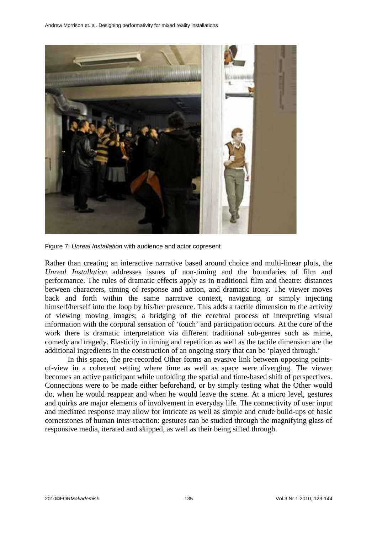

Figure 7: Unreal Installation with audience and actor copresent

Rather than creating an interactive narrative based around choice and multi-linear plots, the *Unreal Installation* addresses issues of non-timing and the boundaries of film and performance. The rules of dramatic effects apply as in traditional film and theatre: distances between characters, timing of response and action, and dramatic irony. The viewer moves back and forth within the same narrative context, navigating or simply injecting himself/herself into the loop by his/her presence. This adds a tactile dimension to the activity of viewing moving images; a bridging of the cerebral process of interpreting visual information with the corporal sensation of 'touch' and participation occurs. At the core of the work there is dramatic interpretation via different traditional sub-genres such as mime, comedy and tragedy. Elasticity in timing and repetition as well as the tactile dimension are the additional ingredients in the construction of an ongoing story that can be 'played through.'

In this space, the pre-recorded Other forms an evasive link between opposing pointsof-view in a coherent setting where time as well as space were diverging. The viewer becomes an active participant while unfolding the spatial and time-based shift of perspectives. Connections were to be made either beforehand, or by simply testing what the Other would do, when he would reappear and when he would leave the scene. At a micro level, gestures and quirks are major elements of involvement in everyday life. The connectivity of user input and mediated response may allow for intricate as well as simple and crude build-ups of basic cornerstones of human inter-reaction: gestures can be studied through the magnifying glass of responsive media, iterated and skipped, as well as their being sifted through.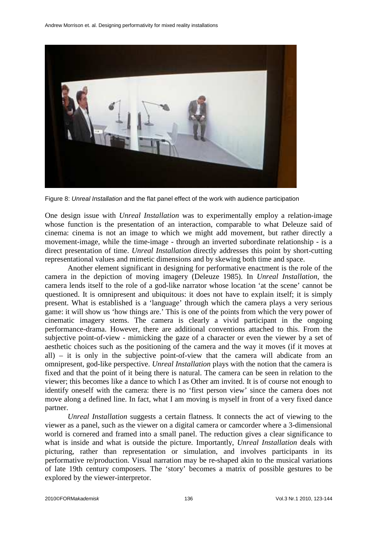

Figure 8: Unreal Installation and the flat panel effect of the work with audience participation

One design issue with *Unreal Installation* was to experimentally employ a relation-image whose function is the presentation of an interaction, comparable to what Deleuze said of cinema: cinema is not an image to which we might add movement, but rather directly a movement-image, while the time-image - through an inverted subordinate relationship - is a direct presentation of time. *Unreal Installation* directly addresses this point by short-cutting representational values and mimetic dimensions and by skewing both time and space.

Another element significant in designing for performative enactment is the role of the camera in the depiction of moving imagery (Deleuze 1985). In *Unreal Installation*, the camera lends itself to the role of a god-like narrator whose location 'at the scene' cannot be questioned. It is omnipresent and ubiquitous: it does not have to explain itself; it is simply present. What is established is a 'language' through which the camera plays a very serious game: it will show us 'how things are.' This is one of the points from which the very power of cinematic imagery stems. The camera is clearly a vivid participant in the ongoing performance-drama. However, there are additional conventions attached to this. From the subjective point-of-view - mimicking the gaze of a character or even the viewer by a set of aesthetic choices such as the positioning of the camera and the way it moves (if it moves at all) – it is only in the subjective point-of-view that the camera will abdicate from an omnipresent, god-like perspective. *Unreal Installation* plays with the notion that the camera is fixed and that the point of it being there is natural. The camera can be seen in relation to the viewer; this becomes like a dance to which I as Other am invited. It is of course not enough to identify oneself with the camera: there is no 'first person view' since the camera does not move along a defined line. In fact, what I am moving is myself in front of a very fixed dance partner.

*Unreal Installation* suggests a certain flatness. It connects the act of viewing to the viewer as a panel, such as the viewer on a digital camera or camcorder where a 3-dimensional world is cornered and framed into a small panel. The reduction gives a clear significance to what is inside and what is outside the picture. Importantly, *Unreal Installation* deals with picturing, rather than representation or simulation, and involves participants in its performative re/production. Visual narration may be re-shaped akin to the musical variations of late 19th century composers. The 'story' becomes a matrix of possible gestures to be explored by the viewer-interpretor.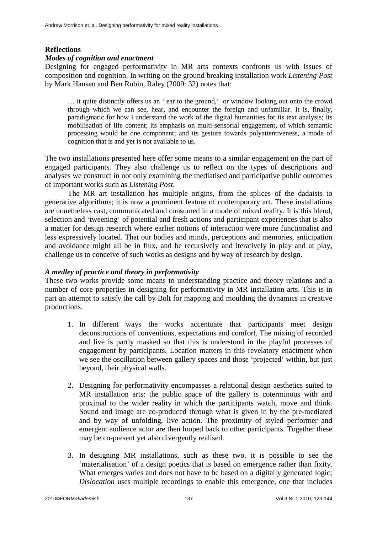# **Reflections**

### *Modes of cognition and enactment*

Designing for engaged performativity in MR arts contexts confronts us with issues of composition and cognition. In writing on the ground breaking installation work *Listening Post* by Mark Hansen and Ben Rubin, Raley (2009: 32) notes that:

… it quite distinctly offers us an ' ear to the ground,' or window looking out onto the crowd through which we can see, hear, and encounter the foreign and unfamiliar. It is, finally, paradigmatic for how I understand the work of the digital humanities for its text analysis; its mobilisation of life content; its emphasis on multi-sensorial engagement, of which semantic processing would be one component; and its gesture towards polyattentiveness, a mode of cognition that is and yet is not available to us.

The two installations presented here offer some means to a similar engagement on the part of engaged participants. They also challenge us to reflect on the types of descriptions and analyses we construct in not only examining the mediatised and participative public outcomes of important works such as *Listening Post*.

The MR art installation has multiple origins, from the splices of the dadaists to generative algorithms; it is now a prominent feature of contemporary art. These installations are nonetheless cast, communicated and consumed in a mode of mixed reality. It is this blend, selection and 'tweening' of potential and fresh actions and participant experiences that is also a matter for design research where earlier notions of interaction were more functionalist and less expressively located. That our bodies and minds, perceptions and memories, anticipation and avoidance might all be in flux, and be recursively and iteratively in play and at play, challenge us to conceive of such works as designs and by way of research by design.

## *A medley of practice and theory in performativity*

These two works provide some means to understanding practice and theory relations and a number of core properties in designing for performativity in MR installation arts. This is in part an attempt to satisfy the call by Bolt for mapping and moulding the dynamics in creative productions.

- 1. In different ways the works accentuate that participants meet design deconstructions of conventions, expectations and comfort. The mixing of recorded and live is partly masked so that this is understood in the playful processes of engagement by participants. Location matters in this revelatory enactment when we see the oscillation between gallery spaces and those 'projected' within, but just beyond, their physical walls.
- 2. Designing for performativity encompasses a relational design aesthetics suited to MR installation arts: the public space of the gallery is coterminous with and proximal to the wider reality in which the participants watch, move and think. Sound and image are co-produced through what is given in by the pre-mediated and by way of unfolding, live action. The proximity of styled performer and emergent audience actor are then looped back to other participants. Together these may be co-present yet also divergently realised.
- 3. In designing MR installations, such as these two, it is possible to see the 'materialisation' of a design poetics that is based on emergence rather than fixity. What emerges varies and does not have to be based on a digitally generated logic; *Dislocation* uses multiple recordings to enable this emergence, one that includes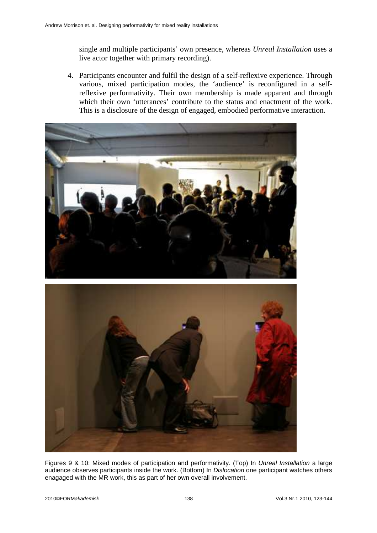single and multiple participants' own presence, whereas *Unreal Installation* uses a live actor together with primary recording).

4. Participants encounter and fulfil the design of a self-reflexive experience. Through various, mixed participation modes, the 'audience' is reconfigured in a selfreflexive performativity. Their own membership is made apparent and through which their own 'utterances' contribute to the status and enactment of the work. This is a disclosure of the design of engaged, embodied performative interaction.





Figures 9 & 10: Mixed modes of participation and performativity. (Top) In Unreal Installation a large audience observes participants inside the work. (Bottom) In Dislocation one participant watches others enagaged with the MR work, this as part of her own overall involvement.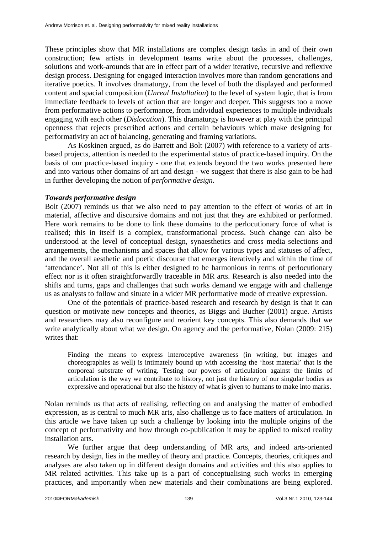These principles show that MR installations are complex design tasks in and of their own construction; few artists in development teams write about the processes, challenges, solutions and work-arounds that are in effect part of a wider iterative, recursive and reflexive design process. Designing for engaged interaction involves more than random generations and iterative poetics. It involves dramaturgy, from the level of both the displayed and performed content and spacial composition (*Unreal Installation*) to the level of system logic, that is from immediate feedback to levels of action that are longer and deeper. This suggests too a move from performative actions to performance, from individual experiences to multiple individuals engaging with each other (*Dislocation*). This dramaturgy is however at play with the principal openness that rejects prescribed actions and certain behaviours which make designing for performativity an act of balancing, generating and framing variations.

As Koskinen argued, as do Barrett and Bolt (2007) with reference to a variety of artsbased projects, attention is needed to the experimental status of practice-based inquiry. On the basis of our practice-based inquiry - one that extends beyond the two works presented here and into various other domains of art and design - we suggest that there is also gain to be had in further developing the notion of *performative design.*

## *Towards performative design*

Bolt (2007) reminds us that we also need to pay attention to the effect of works of art in material, affective and discursive domains and not just that they are exhibited or performed. Here work remains to be done to link these domains to the perlocutionary force of what is realised; this in itself is a complex, transformational process. Such change can also be understood at the level of conceptual design, synaesthetics and cross media selections and arrangements, the mechanisms and spaces that allow for various types and statuses of affect, and the overall aesthetic and poetic discourse that emerges iteratively and within the time of 'attendance'. Not all of this is either designed to be harmonious in terms of perlocutionary effect nor is it often straightforwardly traceable in MR arts. Research is also needed into the shifts and turns, gaps and challenges that such works demand we engage with and challenge us as analysts to follow and situate in a wider MR performative mode of creative expression.

One of the potentials of practice-based research and research by design is that it can question or motivate new concepts and theories, as Biggs and Bucher (2001) argue. Artists and researchers may also reconfigure and reorient key concepts. This also demands that we write analytically about what we design. On agency and the performative, Nolan (2009: 215) writes that:

Finding the means to express interoceptive awareness (in writing, but images and choreographies as well) is intimately bound up with accessing the 'host material' that is the corporeal substrate of writing. Testing our powers of articulation against the limits of articulation is the way we contribute to history, not just the history of our singular bodies as expressive and operational but also the history of what is given to humans to make into marks.

Nolan reminds us that acts of realising, reflecting on and analysing the matter of embodied expression, as is central to much MR arts, also challenge us to face matters of articulation. In this article we have taken up such a challenge by looking into the multiple origins of the concept of performativity and how through co-publication it may be applied to mixed reality installation arts.

We further argue that deep understanding of MR arts, and indeed arts-oriented research by design, lies in the medley of theory and practice. Concepts, theories, critiques and analyses are also taken up in different design domains and activities and this also applies to MR related activities. This take up is a part of conceptualising such works in emerging practices, and importantly when new materials and their combinations are being explored.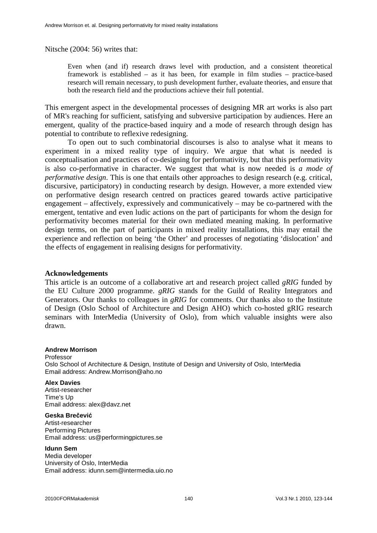Nitsche (2004: 56) writes that:

Even when (and if) research draws level with production, and a consistent theoretical framework is established – as it has been, for example in film studies – practice-based research will remain necessary, to push development further, evaluate theories, and ensure that both the research field and the productions achieve their full potential.

This emergent aspect in the developmental processes of designing MR art works is also part of MR's reaching for sufficient, satisfying and subversive participation by audiences. Here an emergent, quality of the practice-based inquiry and a mode of research through design has potential to contribute to reflexive redesigning.

To open out to such combinatorial discourses is also to analyse what it means to experiment in a mixed reality type of inquiry. We argue that what is needed is conceptualisation and practices of co-designing for performativity, but that this performativity is also co-performative in character. We suggest that what is now needed is *a mode of performative design*. This is one that entails other approaches to design research (e.g. critical, discursive, participatory) in conducting research by design. However, a more extended view on performative design research centred on practices geared towards active participative engagement – affectively, expressively and communicatively – may be co-partnered with the emergent, tentative and even ludic actions on the part of participants for whom the design for performativity becomes material for their own mediated meaning making. In performative design terms, on the part of participants in mixed reality installations, this may entail the experience and reflection on being 'the Other' and processes of negotiating 'dislocation' and the effects of engagement in realising designs for performativity.

#### **Acknowledgements**

This article is an outcome of a collaborative art and research project called *gRIG* funded by the EU Culture 2000 programme. *gRIG* stands for the Guild of Reality Integrators and Generators. Our thanks to colleagues in *gRIG* for comments. Our thanks also to the Institute of Design (Oslo School of Architecture and Design AHO) which co-hosted gRIG research seminars with InterMedia (University of Oslo), from which valuable insights were also drawn.

#### **Andrew Morrison**

Professor Oslo School of Architecture & Design, Institute of Design and University of Oslo, InterMedia Email address: Andrew.Morrison@aho.no

#### **Alex Davies**

Artist-researcher Time's Up Email address: alex@davz.net

#### **Geska Bre**č**evi**ć

Artist-researcher Performing Pictures Email address: us@performingpictures.se

#### **Idunn Sem**

Media developer University of Oslo, InterMedia Email address: idunn.sem@intermedia.uio.no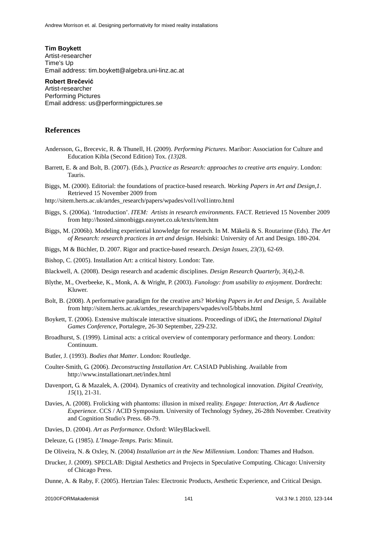**Tim Boykett** Artist-researcher Time's Up Email address: tim.boykett@algebra.uni-linz.ac.at

#### **Robert Bre**č**evi**ć

Artist-researcher Performing Pictures Email address: us@performingpictures.se

#### **References**

- Andersson, G., Brecevic, R. & Thunell, H. (2009). *Performing Pictures*. Maribor: Association for Culture and Education Kibla (Second Edition) Tox. *(13)*28.
- Barrett, E. & and Bolt, B. (2007). (Eds.), *Practice as Research: approaches to creative arts enquiry*. London: Tauris.
- Biggs, M. (2000). Editorial: the foundations of practice-based research. *Working Papers in Art and Design,1*. Retrieved 15 November 2009 from

http://sitem.herts.ac.uk/artdes\_research/papers/wpades/vol1/vol1intro.html

- Biggs, S. (2006a). 'Introduction'. *ITEM: Artists in research environments*. FACT. Retrieved 15 November 2009 from http://hosted.simonbiggs.easynet.co.uk/texts/item.htm
- Biggs, M. (2006b). Modeling experiential knowledge for research. In M. Mäkelä & S. Routarinne (Eds). *The Art of Research: research practices in art and design*. Helsinki: University of Art and Design. 180-204.

Biggs, M & Büchler, D. 2007. Rigor and practice-based research. *Design Issues, 23(*3), 62-69.

Bishop, C. (2005). Installation Art: a critical history. London: Tate.

Blackwell, A. (2008). Design research and academic disciplines. *Design Research Quarterly, 3*(4),2-8.

- Blythe, M., Overbeeke, K., Monk, A. & Wright, P. (2003). *Funology: from usability to enjoyment*. Dordrecht: Kluwer.
- Bolt, B. (2008). A performative paradigm for the creative arts? *Working Papers in Art and Design, 5.* Available from http://sitem.herts.ac.uk/artdes\_research/papers/wpades/vol5/bbabs.html
- Boykett, T. (2006). Extensive multiscale interactive situations. Proceedings of iDiG, the *International Digital Games Conference*, Portalegre, 26-30 September, 229-232.
- Broadhurst, S. (1999). Liminal acts: a critical overview of contemporary performance and theory. London: Continuum.
- Butler, J. (1993). *Bodies that Matter*. London: Routledge.
- Coulter-Smith, G. (2006). *Deconstructing Installation Art*. CASIAD Publishing. Available from http://www.installationart.net/index.html
- Davenport, G. & Mazalek, A. (2004). Dynamics of creativity and technological innovation. *Digital Creativity, 15*(1), 21-31.
- Davies, A. (2008). Frolicking with phantoms: illusion in mixed reality. *Engage: Interaction, Art & Audience Experience*. CCS / ACID Symposium. University of Technology Sydney, 26-28th November. Creativity and Cognition Studio's Press. 68-79.
- Davies, D. (2004). *Art as Performance*. Oxford: WileyBlackwell.
- Deleuze, G. (1985). *L'Image-Temps*. Paris: Minuit.
- De Oliveira, N. & Oxley, N. (2004) *Installation art in the New Millennium*. London: Thames and Hudson.
- Drucker, J. (2009). SPECLAB: Digital Aesthetics and Projects in Speculative Computing. Chicago: University of Chicago Press.
- Dunne, A. & Raby, F. (2005). Hertzian Tales: Electronic Products, Aesthetic Experience, and Critical Design.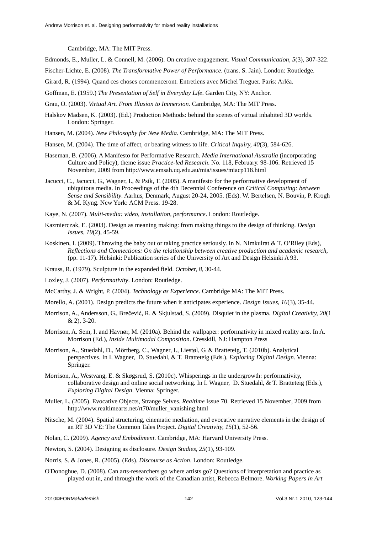Cambridge, MA: The MIT Press.

- Edmonds, E., Muller, L. & Connell, M. (2006). On creative engagement. *Visual Communication, 5*(3), 307-322.
- Fischer-Lichte, E. (2008). *The Transformative Power of Performance*. (trans. S. Jain). London: Routledge.
- Girard, R. (1994). Quand ces choses commenceront. Entretiens avec Michel Treguer. Paris: Arléa.
- Goffman, E. (1959.) *The Presentation of Self in Everyday Life*. Garden City, NY: Anchor.
- Grau, O. (2003). *Virtual Art. From Illusion to Immersion.* Cambridge, MA: The MIT Press.
- Halskov Madsen, K. (2003). (Ed.) Production Methods: behind the scenes of virtual inhabited 3D worlds. London: Springer.
- Hansen, M. (2004). *New Philosophy for New Media*. Cambridge, MA: The MIT Press.
- Hansen, M. (2004). The time of affect, or bearing witness to life. *Critical Inquiry, 40*(3), 584-626.
- Haseman, B. (2006). A Manifesto for Performative Research. *Media International Australia* (incorporating Culture and Policy), theme issue *Practice-led Research*. No. 118, February. 98-106. Retrieved 15 November, 2009 from http://www.emsah.uq.edu.au/mia/issues/miacp118.html
- Jacucci, C., Jacucci, G., Wagner, I., & Psik, T. (2005). A manifesto for the performative development of ubiquitous media. In Proceedings of the 4th Decennial Conference on *Critical Computing: between Sense and Sensibility*. Aarhus, Denmark, August 20-24, 2005. (Eds). W. Bertelsen, N. Bouvin, P. Krogh & M. Kyng. New York: ACM Press. 19-28.
- Kaye, N. (2007). *Multi-media: video, installation, performance*. London: Routledge.
- Kazmierczak, E. (2003). Design as meaning making: from making things to the design of thinking. *Design Issues, 19*(2), 45-59.
- Koskinen, I. (2009). Throwing the baby out or taking practice seriously. In N. Nimkulrat & T. O'Riley (Eds), *Reflections and Connections: On the relationship between creative production and academic research*, (pp. 11-17). Helsinki: Publication series of the University of Art and Design Helsinki A 93.
- Krauss, R. (1979). Sculpture in the expanded field. *October, 8*, 30-44.
- Loxley, J. (2007). *Performativity*. London: Routledge.
- McCarthy, J. & Wright, P. (2004). *Technology as Experience*. Cambridge MA: The MIT Press.
- Morello, A. (2001). Design predicts the future when it anticipates experience. *Design Issues, 16*(3), 35-44.
- Morrison, A., Andersson, G., Brečević, R. & Skjulstad, S. (2009). Disquiet in the plasma. *Digital Creativity, 20*(1 & 2), 3-20.
- Morrison, A. Sem, I. and Havnør, M. (2010a). Behind the wallpaper: performativity in mixed reality arts. In A. Morrison (Ed.), *Inside Multimodal Composition*. Cresskill, NJ: Hampton Press
- Morrison, A., Stuedahl, D., Mörtberg, C., Wagner, I., Liestøl, G. & Bratteteig, T. (2010b). Analytical perspectives. In I. Wagner, D. Stuedahl, & T. Bratteteig (Eds.), *Exploring Digital Design*. Vienna: Springer.
- Morrison, A., Westvang, E. & Skøgsrud, S. (2010c). Whisperings in the undergrowth: performativity, collaborative design and online social networking. In I. Wagner, D. Stuedahl, & T. Bratteteig (Eds.), *Exploring Digital Design*. Vienna: Springer.
- Muller, L. (2005). Evocative Objects, Strange Selves. *Realtime* Issue 70. Retrieved 15 November, 2009 from http://www.realtimearts.net/rt70/muller\_vanishing.html
- Nitsche, M. (2004). Spatial structuring, cinematic mediation, and evocative narrative elements in the design of an RT 3D VE: The Common Tales Project. *Digital Creativity, 15*(1), 52-56.
- Nolan, C. (2009). *Agency and Embodiment*. Cambridge, MA: Harvard University Press.
- Newton, S. (2004). Designing as disclosure. *Design Studies, 25*(1), 93-109.
- Norris, S. & Jones, R. (2005). (Eds). *Discourse as Action*. London: Routledge.
- O'Donoghue, D. (2008). Can arts-researchers go where artists go? Questions of interpretation and practice as played out in, and through the work of the Canadian artist, Rebecca Belmore. *Working Papers in Art*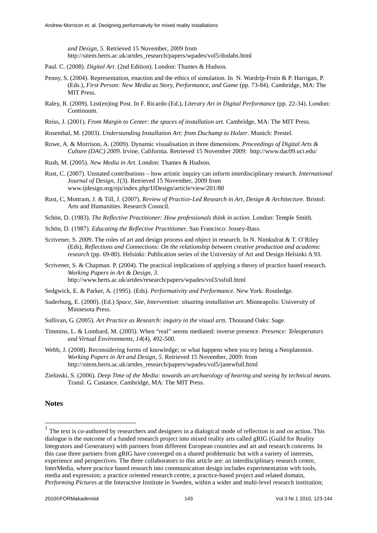*and Design, 5.* Retrieved 15 November, 2009 from http://sitem.herts.ac.uk/artdes\_research/papers/wpades/vol5/dodabs.html

- Paul. C. (2008). *Digital Art*. (2nd Edition). London: Thames & Hudson.
- Penny, S. (2004). Representation, enaction and the ethics of simulation. In N. Wardrip-Fruin & P. Harrigan, P. (Eds.), *First Person: New Media as Story, Performance, and Game* (pp. 73-84). Cambridge, MA: The MIT Press.
- Raley, R. (2009). List(en)ing Post. In F. Ricardo (Ed.), *Literary Art in Digital Performance* (pp. 22-34). London: Continuum.
- Reiss, J. (2001). *From Margin to Center: the spaces of installation art.* Cambridge, MA: The MIT Press.

Rosenthal, M. (2003). *Understanding Installation Art: from Duchamp to Holzer*. Munich: Prestel.

- Rowe, A. & Morrison, A. (2009). Dynamic visualisation in three dimensions. *Proceedings of Digital Arts & Culture (DAC) 2009*. Irvine, California. Retrieved 15 November 2009: http://www.dac09.uci.edu/
- Rush, M. (2005). *New Media in Art*. London: Thames & Hudson.
- Rust, C. (2007). Unstated contributions how artistic inquiry can inform interdisciplinary research. *International Journal of Design, 1*(3). Retrieved 15 November, 2009 from www.ijdesign.org/ojs/index.php/IJDesign/article/view/201/80
- Rust, C, Mottram, J. & Till, J. (2007). *Review of Practice-Led Research in Art, Design & Architecture.* Bristol: Arts and Humanities. Research Council.
- Schön, D. (1983). *The Reflective Practitioner: How professionals think in action.* London: Temple Smith.
- Schön, D. (1987). *Educating the Reflective Practitioner*. San Francisco: Jossey-Bass.
- Scrivener, S. 2009. The roles of art and design process and object in research. In N. Nimkulrat & T. O'Riley (Eds), *Reflections and Connections: On the relationship between creative production and academic research* (pp. 69-80). Helsinki: Publication series of the University of Art and Design Helsinki A 93.
- Scrivener, S. & Chapman. P. (2004). The practical implications of applying a theory of practice based research. *Working Papers in Art & Design, 3*. http://www.herts.ac.uk/artdes/research/papers/wpades/vol3/ssfull.html
- Sedgwick, E. & Parker, A. (1995). (Eds). *Performativity and Performance*. New York: Routledge.
- Suderburg, E. (2000). (Ed.) *Space, Site, Intervention: situating installation art*. Minneapolis: University of Minnesota Press.
- Sullivan, G. (2005). *Art Practice as Research: inquiry in the visual arts.* Thousand Oaks: Sage.
- Timmins, L. & Lombard, M. (2005). When "real" seems mediated: inverse presence. *Presence: Teleoperators and Virtual Environments*, *14*(4), 492-500.
- Webb, J. (2008). Reconsidering forms of knowledge; or what happens when you try being a Neoplatonist. *Working Papers in Art and Design, 5*. Retrieved 15 November, 2009: from http://sitem.herts.ac.uk/artdes\_research/papers/wpades/vol5/janewfull.html
- Zielinski, S. (2006). *Deep Time of the Media: towards an archaeology of hearing and seeing by technical means*. Transl. G. Custance. Cambridge, MA: The MIT Press.

#### **Notes**

 $\overline{a}$ 

 $<sup>1</sup>$  The text is co-authored by researchers and designers in a dialogical mode of reflection in and on action. This</sup> dialogue is the outcome of a funded research project into mixed reality arts called gRIG (Guild for Reality Integrators and Generators) with partners from different European countries and art and research concerns. In this case three partners from gRIG have converged on a shared problematic but with a variety of interests, experience and perspectives. The three collaborators to this article are: an interdisciplinary research centre, InterMedia, where practice based research into communication design includes experimentation with tools, media and expression; a practice oriented research centre, a practice-based project and related domain, *Performing Pictures* at the Interactive Institute in Sweden, within a wider and multi-level research institution;